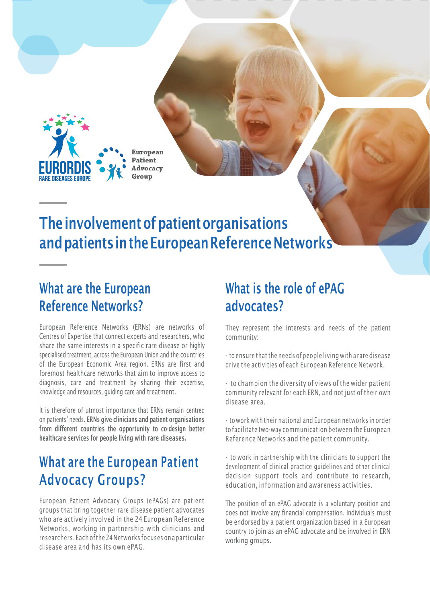

**Advocacy** 

# The involvement of patient organisations and patients in the European Reference Networks

### What are the European Reference Networks?

[European Reference Networks \(ERNs\)](https://ec.europa.eu/health/ern_en) are networks of Centres of Expertise that connect experts and researchers, who share the same interests in a specific rare disease or highly specialised treatment, across the European Union and the countries of the European Economic Area region. ERNs are first and foremost healthcare networks that aim to improve access to diagnosis, care and treatment by sharing their expertise, knowledge and resources, guiding care and treatment.

It is therefore of utmost importance that ERNs remain centred on patients' needs. ERNs give clinicians and patient organisations from different countries the opportunity to co-design better healthcare services for people living with rare diseases.

## What are the European Patient Advocacy Groups?

European Patient Advocacy Groups (ePAGs) are patient groups that bring together rare disease patient advocates who are actively involved in the 24 European Reference Networks, working in partnership with clinicians and researchers. Each ofthe 24Networks focuses on aparticular disease area and has its own ePAG.

### What is the role of ePAG advocates?

They represent the interests and needs of the patient community:

- to ensure that the needs of people living with a rare disease drive the activities of each European Reference Network.

- to champion the diversity of views of the wider patient community relevant for each ERN, and not just of their own disease area.

- to work with their national and European networks in order to facilitate two-way communication between the European Reference Networks and the patient community.

- to work in partnership with the clinicians to support the development of clinical practice guidelines and other clinical decision support tools and contribute to research, education, information and awareness activities.

The position of an ePAG advocate is a voluntary position and does not involve any financial compensation. Individuals must be endorsed by a patient organization based in a European country to join as an ePAG advocate and be involved in ERN working groups.